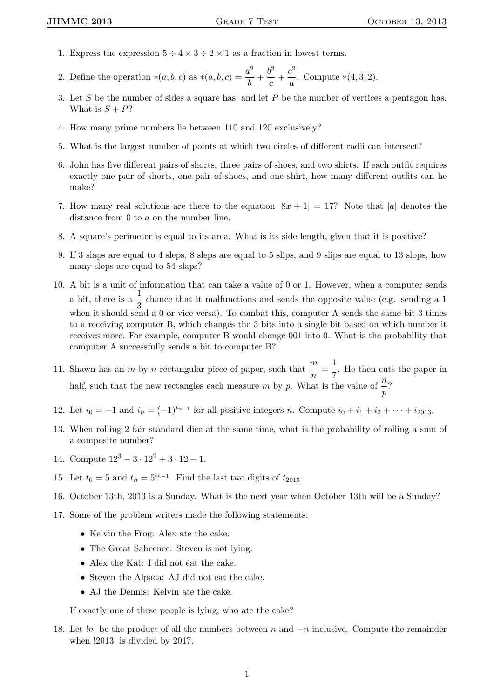- 1. Express the expression  $5 \div 4 \times 3 \div 2 \times 1$  as a fraction in lowest terms.
- 2. Define the operation  $*(a, b, c)$  as  $*(a, b, c) = \frac{a^2}{b}$  $\frac{a^2}{b} + \frac{b^2}{c}$  $\frac{b^2}{c} + \frac{c^2}{a}$  $\frac{a}{a}$ . Compute \*(4, 3, 2).
- 3. Let S be the number of sides a square has, and let P be the number of vertices a pentagon has. What is  $S + P$ ?
- 4. How many prime numbers lie between 110 and 120 exclusively?
- 5. What is the largest number of points at which two circles of different radii can intersect?
- 6. John has five different pairs of shorts, three pairs of shoes, and two shirts. If each outfit requires exactly one pair of shorts, one pair of shoes, and one shirt, how many different outfits can he make?
- 7. How many real solutions are there to the equation  $|8x + 1| = 17$ ? Note that |a| denotes the distance from 0 to a on the number line.
- 8. A square's perimeter is equal to its area. What is its side length, given that it is positive?
- 9. If 3 slaps are equal to 4 sleps, 8 sleps are equal to 5 slips, and 9 slips are equal to 13 slops, how many slops are equal to 54 slaps?
- 10. A bit is a unit of information that can take a value of 0 or 1. However, when a computer sends a bit, there is a  $\frac{1}{3}$  chance that it malfunctions and sends the opposite value (e.g. sending a 1 when it should send a 0 or vice versa). To combat this, computer A sends the same bit 3 times to a receiving computer B, which changes the 3 bits into a single bit based on which number it receives more. For example, computer B would change 001 into 0. What is the probability that computer A successfully sends a bit to computer B?
- 11. Shawn has an *m* by *n* rectangular piece of paper, such that  $\frac{m}{n} = \frac{1}{7}$  $\frac{1}{7}$ . He then cuts the paper in half, such that the new rectangles each measure m by p. What is the value of  $\frac{n}{p}$ ?
- 12. Let  $i_0 = -1$  and  $i_n = (-1)^{i_{n-1}}$  for all positive integers n. Compute  $i_0 + i_1 + i_2 + \cdots + i_{2013}$ .
- 13. When rolling 2 fair standard dice at the same time, what is the probability of rolling a sum of a composite number?
- 14. Compute  $12^3 3 \cdot 12^2 + 3 \cdot 12 1$ .
- 15. Let  $t_0 = 5$  and  $t_n = 5^{t_{n-1}}$ . Find the last two digits of  $t_{2013}$ .
- 16. October 13th, 2013 is a Sunday. What is the next year when October 13th will be a Sunday?
- 17. Some of the problem writers made the following statements:
	- Kelvin the Frog: Alex ate the cake.
	- The Great Sabeenee: Steven is not lying.
	- Alex the Kat: I did not eat the cake.
	- Steven the Alpaca: AJ did not eat the cake.
	- AJ the Dennis: Kelvin ate the cake.

If exactly one of these people is lying, who ate the cake?

18. Let !n! be the product of all the numbers between n and −n inclusive. Compute the remainder when !2013! is divided by 2017.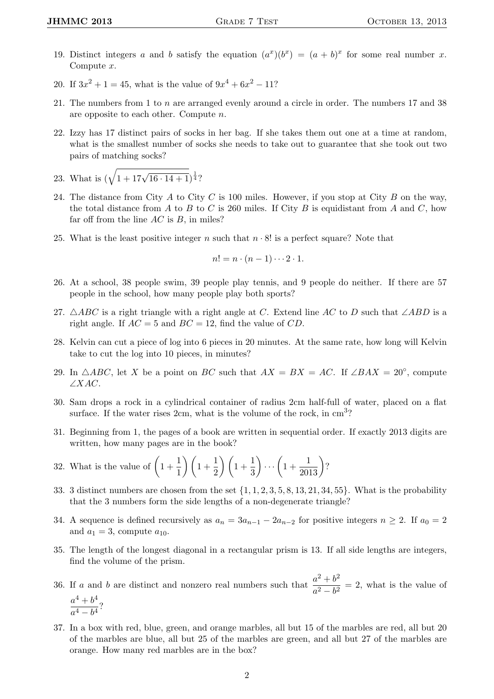- 19. Distinct integers a and b satisfy the equation  $(a^x)(b^x) = (a + b)^x$  for some real number x. Compute x.
- 20. If  $3x^2 + 1 = 45$ , what is the value of  $9x^4 + 6x^2 11$ ?
- 21. The numbers from 1 to  $n$  are arranged evenly around a circle in order. The numbers 17 and 38 are opposite to each other. Compute n.
- 22. Izzy has 17 distinct pairs of socks in her bag. If she takes them out one at a time at random, what is the smallest number of socks she needs to take out to guarantee that she took out two pairs of matching socks?
- 23. What is  $(\sqrt{1+17\sqrt{16\cdot 14+1}})^{\frac{1}{4}}$ ?
- 24. The distance from City A to City C is 100 miles. However, if you stop at City B on the way, the total distance from A to B to C is 260 miles. If City B is equidistant from A and C, how far off from the line  $AC$  is  $B$ , in miles?
- 25. What is the least positive integer n such that  $n \cdot 8!$  is a perfect square? Note that

$$
n! = n \cdot (n-1) \cdots 2 \cdot 1.
$$

- 26. At a school, 38 people swim, 39 people play tennis, and 9 people do neither. If there are 57 people in the school, how many people play both sports?
- 27.  $\triangle ABC$  is a right triangle with a right angle at C. Extend line AC to D such that ∠ABD is a right angle. If  $AC = 5$  and  $BC = 12$ , find the value of CD.
- 28. Kelvin can cut a piece of log into 6 pieces in 20 minutes. At the same rate, how long will Kelvin take to cut the log into 10 pieces, in minutes?
- 29. In  $\triangle ABC$ , let X be a point on BC such that  $AX = BX = AC$ . If  $\angle BAX = 20^{\circ}$ , compute  $\angle XAC$ .
- 30. Sam drops a rock in a cylindrical container of radius 2cm half-full of water, placed on a flat surface. If the water rises  $2cm$ , what is the volume of the rock, in  $cm<sup>3</sup>$ ?
- 31. Beginning from 1, the pages of a book are written in sequential order. If exactly 2013 digits are written, how many pages are in the book?
- 32. What is the value of  $\left(1+\frac{1}{1}\right)$  $\frac{1}{1}$  $\bigg)$  $\bigg(1+\frac{1}{2}\bigg)$  $\frac{1}{2}$  $\bigg) \bigg( 1 + \frac{1}{3}$ 3  $\bigg) \cdots \bigg(1 + \frac{1}{2013}\bigg)$ ?
- 33. 3 distinct numbers are chosen from the set  $\{1, 1, 2, 3, 5, 8, 13, 21, 34, 55\}$ . What is the probability that the 3 numbers form the side lengths of a non-degenerate triangle?
- 34. A sequence is defined recursively as  $a_n = 3a_{n-1} 2a_{n-2}$  for positive integers  $n \geq 2$ . If  $a_0 = 2$ and  $a_1 = 3$ , compute  $a_{10}$ .
- 35. The length of the longest diagonal in a rectangular prism is 13. If all side lengths are integers, find the volume of the prism.
- 36. If a and b are distinct and nonzero real numbers such that  $\frac{a^2 + b^2}{2}$  $\frac{a^2 + b^2}{a^2 - b^2} = 2$ , what is the value of  $a^4 + b^4$  $\frac{a}{a^4-b^4}$ ?
- 37. In a box with red, blue, green, and orange marbles, all but 15 of the marbles are red, all but 20 of the marbles are blue, all but 25 of the marbles are green, and all but 27 of the marbles are orange. How many red marbles are in the box?